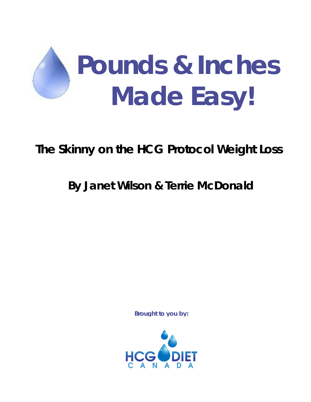

# *The Skinny on the HCG Protocol Weight Loss*

## **By Janet Wilson & Terrie McDonald**

**Brought to you by:**

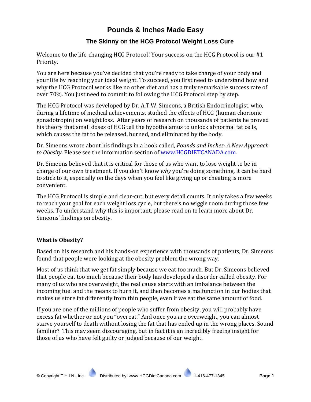## **Pounds & Inches Made Easy**

## **The Skinny on the HCG Protocol Weight Loss Cure**

Welcome to the life-changing HCG Protocol! Your success on the HCG Protocol is our #1 Priority.

You are here because you've decided that you're ready to take charge of your body and your life by reaching your ideal weight. To succeed, you first need to understand how and why the HCG Protocol works like no other diet and has a truly remarkable success rate of over 70%. You just need to commit to following the HCG Protocol step by step.

The HCG Protocol was developed by Dr. A.T.W. Simeons, a British Endocrinologist, who, during a lifetime of medical achievements, studied the effects of HCG (human chorionic gonadotropin) on weight loss. After years of research on thousands of patients he proved his theory that small doses of HCG tell the hypothalamus to unlock abnormal fat cells, which causes the fat to be released, burned, and eliminated by the body.

Dr. Simeons wrote about his findings in a book called, *Pounds and Inches: A New Approach to Obesity*. Please see the information section of www.HCGDIETCANADA.com.

Dr. Simeons believed that it is critical for those of us who want to lose weight to be in charge of our own treatment. If you don't know *why* you're doing something, it can be hard to stick to it, especially on the days when you feel like giving up or cheating is more convenient.

The HCG Protocol is simple and clear-cut, but every detail counts. It only takes a few weeks to reach your goal for each weight loss cycle, but there's no wiggle room during those few weeks. To understand why this is important, please read on to learn more about Dr. Simeons' findings on obesity.

## **What is Obesity?**

Based on his research and his hands-on experience with thousands of patients, Dr. Simeons found that people were looking at the obesity problem the wrong way.

Most of us think that we get fat simply because we eat too much. But Dr. Simeons believed that people eat too much because their body has developed a disorder called obesity. For many of us who are overweight, the real cause starts with an imbalance between the incoming fuel and the means to burn it, and then becomes a malfunction in our bodies that makes us store fat differently from thin people, even if we eat the same amount of food.

If you are one of the millions of people who suffer from obesity, you will probably have excess fat whether or not you "overeat." And once you are overweight, you can almost starve yourself to death without losing the fat that has ended up in the wrong places. Sound familiar? This may seem discouraging, but in fact it is an incredibly freeing insight for those of us who have felt guilty or judged because of our weight.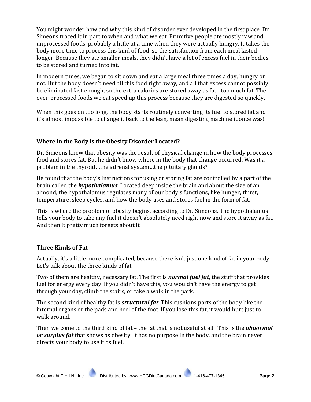You might wonder how and why this kind of disorder ever developed in the first place. Dr. Simeons traced it in part to when and what we eat. Primitive people ate mostly raw and unprocessed foods, probably a little at a time when they were actually hungry. It takes the body more time to process this kind of food, so the satisfaction from each meal lasted longer. Because they ate smaller meals, they didn't have a lot of excess fuel in their bodies to be stored and turned into fat.

In modern times, we began to sit down and eat a large meal three times a day, hungry or not. But the body doesn't need all this food right away, and all that excess cannot possibly be eliminated fast enough, so the extra calories are stored away as fat…too much fat. The over-processed foods we eat speed up this process because they are digested so quickly.

When this goes on too long, the body starts routinely converting its fuel to stored fat and it's almost impossible to change it back to the lean, mean digesting machine it once was!

## **Where in the Body is the Obesity Disorder Located?**

Dr. Simeons knew that obesity was the result of physical change in how the body processes food and stores fat. But he didn't know where in the body that change occurred. Was it a problem in the thyroid…the adrenal system…the pituitary glands?

He found that the body's instructions for using or storing fat are controlled by a part of the brain called the *hypothalamus.* Located deep inside the brain and about the size of an almond, the hypothalamus regulates many of our body's functions, like hunger, thirst, temperature, sleep cycles, and how the body uses and stores fuel in the form of fat.

This is where the problem of obesity begins, according to Dr. Simeons. The hypothalamus tells your body to take any fuel it doesn't absolutely need right now and store it away as fat. And then it pretty much forgets about it.

## **Three Kinds of Fat**

Actually, it's a little more complicated, because there isn't just one kind of fat in your body. Let's talk about the three kinds of fat.

Two of them are healthy, necessary fat. The first is *normal fuel fat*, the stuff that provides fuel for energy every day. If you didn't have this, you wouldn't have the energy to get through your day, climb the stairs, or take a walk in the park.

The second kind of healthy fat is *structural fat*. This cushions parts of the body like the internal organs or the pads and heel of the foot. If you lose this fat, it would hurt just to walk around.

Then we come to the third kind of fat – the fat that is not useful at all. This is the *abnormal or surplus fat* that shows as obesity. It has no purpose in the body, and the brain never directs your body to use it as fuel.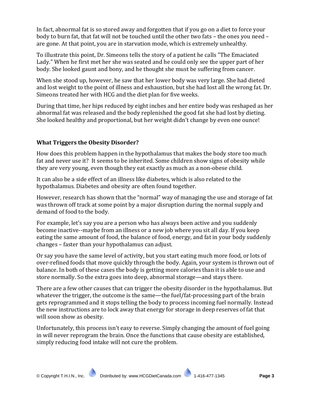In fact, abnormal fat is so stored away and forgotten that if you go on a diet to force your body to burn fat, that fat will not be touched until the other two fats – the ones you need – are gone. At that point, you are in starvation mode, which is extremely unhealthy.

To illustrate this point, Dr. Simeons tells the story of a patient he calls "The Emaciated Lady." When he first met her she was seated and he could only see the upper part of her body. She looked gaunt and bony, and he thought she must be suffering from cancer.

When she stood up, however, he saw that her lower body was very large. She had dieted and lost weight to the point of illness and exhaustion, but she had lost all the wrong fat. Dr. Simeons treated her with HCG and the diet plan for five weeks.

During that time, her hips reduced by eight inches and her entire body was reshaped as her abnormal fat was released and the body replenished the good fat she had lost by dieting. She looked healthy and proportional, but her weight didn't change by even one ounce!

## **What Triggers the Obesity Disorder?**

How does this problem happen in the hypothalamus that makes the body store too much fat and never use it? It seems to be inherited. Some children show signs of obesity while they are very young, even though they eat exactly as much as a non-obese child.

It can also be a side effect of an illness like diabetes, which is also related to the hypothalamus. Diabetes and obesity are often found together.

However, research has shown that the "normal" way of managing the use and storage of fat was thrown off track at some point by a major disruption during the normal supply and demand of food to the body.

For example, let's say you are a person who has always been active and you suddenly become inactive--maybe from an illness or a new job where you sit all day. If you keep eating the same amount of food, the balance of food, energy, and fat in your body suddenly changes – faster than your hypothalamus can adjust.

Or say you have the same level of activity, but you start eating much more food, or lots of over-refined foods that move quickly through the body. Again, your system is thrown out of balance. In both of these cases the body is getting more calories than it is able to use and store normally. So the extra goes into deep, abnormal storage—and stays there.

There are a few other causes that can trigger the obesity disorder in the hypothalamus. But whatever the trigger, the outcome is the same—the fuel/fat-processing part of the brain gets reprogrammed and it stops telling the body to process incoming fuel normally. Instead the new instructions are to lock away that energy for storage in deep reserves of fat that will soon show as obesity.

Unfortunately, this process isn't easy to reverse. Simply changing the amount of fuel going in will never reprogram the brain. Once the functions that cause obesity are established, simply reducing food intake will not cure the problem.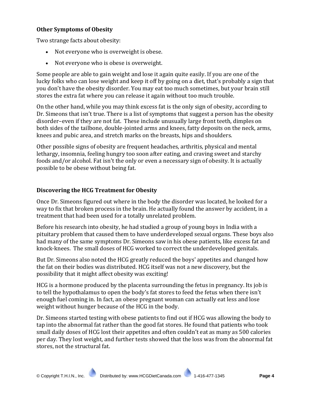#### **Other Symptoms of Obesity**

Two strange facts about obesity:

- Not everyone who is overweight is obese.
- Not everyone who is obese is overweight.

Some people are able to gain weight and lose it again quite easily. If you are one of the lucky folks who can lose weight and keep it off by going on a diet, that's probably a sign that you don't have the obesity disorder. You may eat too much sometimes, but your brain still stores the extra fat where you can release it again without too much trouble.

On the other hand, while you may think excess fat is the only sign of obesity, according to Dr. Simeons that isn't true. There is a list of symptoms that suggest a person has the obesity disorder–even if they are not fat. These include unusually large front teeth, dimples on both sides of the tailbone, double-jointed arms and knees, fatty deposits on the neck, arms, knees and pubic area, and stretch marks on the breasts, hips and shoulders.

Other possible signs of obesity are frequent headaches, arthritis, physical and mental lethargy, insomnia, feeling hungry too soon after eating, and craving sweet and starchy foods and/or alcohol. Fat isn't the only or even a necessary sign of obesity. It is actually possible to be obese without being fat.

#### **Discovering the HCG Treatment for Obesity**

Once Dr. Simeons figured out where in the body the disorder was located, he looked for a way to fix that broken process in the brain. He actually found the answer by accident, in a treatment that had been used for a totally unrelated problem.

Before his research into obesity, he had studied a group of young boys in India with a pituitary problem that caused them to have underdeveloped sexual organs. These boys also had many of the same symptoms Dr. Simeons saw in his obese patients, like excess fat and knock-knees. The small doses of HCG worked to correct the underdeveloped genitals.

But Dr. Simeons also noted the HCG greatly reduced the boys' appetites and changed how the fat on their bodies was distributed. HCG itself was not a new discovery, but the possibility that it might affect obesity was exciting!

HCG is a hormone produced by the placenta surrounding the fetus in pregnancy. Its job is to tell the hypothalamus to open the body's fat stores to feed the fetus when there isn't enough fuel coming in. In fact, an obese pregnant woman can actually eat less and lose weight without hunger because of the HCG in the body.

Dr. Simeons started testing with obese patients to find out if HCG was allowing the body to tap into the abnormal fat rather than the good fat stores. He found that patients who took small daily doses of HCG lost their appetites and often couldn't eat as many as 500 calories per day. They lost weight, and further tests showed that the loss was from the abnormal fat stores, not the structural fat.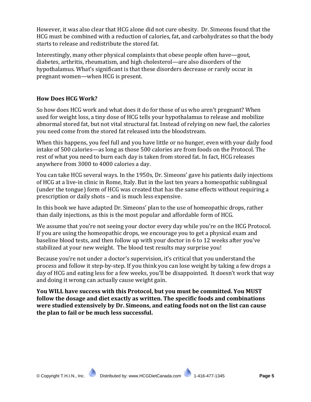However, it was also clear that HCG alone did not cure obesity. Dr. Simeons found that the HCG must be combined with a reduction of calories, fat, and carbohydrates so that the body starts to release and redistribute the stored fat.

Interestingly, many other physical complaints that obese people often have—gout, diabetes, arthritis, rheumatism, and high cholesterol—are also disorders of the hypothalamus. What's significant is that these disorders decrease or rarely occur in pregnant women—when HCG is present.

#### **How Does HCG Work?**

So how does HCG work and what does it do for those of us who aren't pregnant? When used for weight loss, a tiny dose of HCG tells your hypothalamus to release and mobilize abnormal stored fat, but not vital structural fat. Instead of relying on new fuel, the calories you need come from the stored fat released into the bloodstream.

When this happens, you feel full and you have little or no hunger, even with your daily food intake of 500 calories—as long as those 500 calories are from foods on the Protocol. The rest of what you need to burn each day is taken from stored fat. In fact, HCG releases anywhere from 3000 to 4000 calories a day.

You can take HCG several ways. In the 1950s, Dr. Simeons' gave his patients daily injections of HCG at a live-in clinic in Rome, Italy. But in the last ten years a homeopathic sublingual (under the tongue) form of HCG was created that has the same effects without requiring a prescription or daily shots – and is much less expensive.

In this book we have adapted Dr. Simeons' plan to the use of homeopathic drops, rather than daily injections, as this is the most popular and affordable form of HCG.

We assume that you're not seeing your doctor every day while you're on the HCG Protocol. If you are using the homeopathic drops, we encourage you to get a physical exam and baseline blood tests, and then follow up with your doctor in 6 to 12 weeks after you've stabilized at your new weight. The blood test results may surprise you!

Because you're not under a doctor's supervision, it's critical that you understand the process and follow it step-by-step. If you think you can lose weight by taking a few drops a day of HCG and eating less for a few weeks, you'll be disappointed. It doesn't work that way and doing it wrong can actually cause weight gain.

**You WILL have success with this Protocol, but you must be committed. You MUST follow the dosage and diet exactly as written. The specific foods and combinations were studied extensively by Dr. Simeons, and eating foods not on the list can cause the plan to fail or be much less successful.**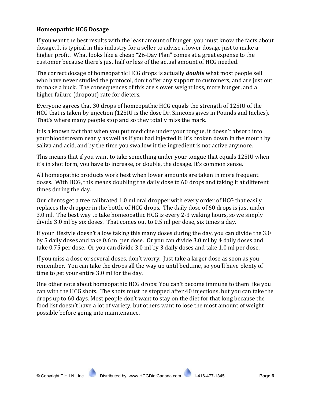#### **Homeopathic HCG Dosage**

If you want the best results with the least amount of hunger, you must know the facts about dosage. It is typical in this industry for a seller to advise a lower dosage just to make a higher profit. What looks like a cheap "26-Day Plan" comes at a great expense to the customer because there's just half or less of the actual amount of HCG needed.

The correct dosage of homeopathic HCG drops is actually *double* what most people sell who have never studied the protocol, don't offer any support to customers, and are just out to make a buck. The consequences of this are slower weight loss, more hunger, and a higher failure (dropout) rate for dieters.

Everyone agrees that 30 drops of homeopathic HCG equals the strength of 125IU of the HCG that is taken by injection (125IU is the dose Dr. Simeons gives in Pounds and Inches). That's where many people stop and so they totally miss the mark.

It is a known fact that when you put medicine under your tongue, it doesn't absorb into your bloodstream nearly as well as if you had injected it. It's broken down in the mouth by saliva and acid, and by the time you swallow it the ingredient is not active anymore.

This means that if you want to take something under your tongue that equals 125IU when it's in shot form, you have to increase, or double, the dosage. It's common sense.

All homeopathic products work best when lower amounts are taken in more frequent doses. With HCG, this means doubling the daily dose to 60 drops and taking it at different times during the day.

Our clients get a free calibrated 1.0 ml oral dropper with every order of HCG that easily replaces the dropper in the bottle of HCG drops. The daily dose of 60 drops is just under 3.0 ml. The best way to take homeopathic HCG is every 2-3 waking hours, so we simply divide 3.0 ml by six doses. That comes out to 0.5 ml per dose, six times a day.

If your lifestyle doesn't allow taking this many doses during the day, you can divide the 3.0 by 5 daily doses and take 0.6 ml per dose. Or you can divide 3.0 ml by 4 daily doses and take 0.75 per dose. Or you can divide 3.0 ml by 3 daily doses and take 1.0 ml per dose.

If you miss a dose or several doses, don't worry. Just take a larger dose as soon as you remember. You can take the drops all the way up until bedtime, so you'll have plenty of time to get your entire 3.0 ml for the day.

One other note about homeopathic HCG drops: You can't become immune to them like you can with the HCG shots. The shots must be stopped after 40 injections, but you can take the drops up to 60 days. Most people don't want to stay on the diet for that long because the food list doesn't have a lot of variety, but others want to lose the most amount of weight possible before going into maintenance.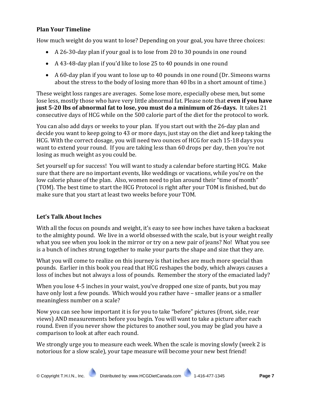#### **Plan Your Timeline**

How much weight do you want to lose? Depending on your goal, you have three choices:

- A 26-30-day plan if your goal is to lose from 20 to 30 pounds in one round
- A 43-48-day plan if you'd like to lose 25 to 40 pounds in one round
- A 60-day plan if you want to lose up to 40 pounds in one round (Dr. Simeons warns about the stress to the body of losing more than 40 lbs in a short amount of time.)

These weight loss ranges are averages. Some lose more, especially obese men, but some lose less, mostly those who have very little abnormal fat. Please note that **even if you have just 5-20 lbs of abnormal fat to lose, you must do a minimum of 26-days.** It takes 21 consecutive days of HCG while on the 500 calorie part of the diet for the protocol to work.

You can also add days or weeks to your plan. If you start out with the 26-day plan and decide you want to keep going to 43 or more days, just stay on the diet and keep taking the HCG. With the correct dosage, you will need two ounces of HCG for each 15-18 days you want to extend your round. If you are taking less than 60 drops per day, then you're not losing as much weight as you could be.

Set yourself up for success! You will want to study a calendar before starting HCG. Make sure that there are no important events, like weddings or vacations, while you're on the low calorie phase of the plan. Also, women need to plan around their "time of month" (TOM). The best time to start the HCG Protocol is right after your TOM is finished, but do make sure that you start at least two weeks before your TOM.

## **Let's Talk About Inches**

With all the focus on pounds and weight, it's easy to see how inches have taken a backseat to the almighty pound. We live in a world obsessed with the scale, but is your weight really what you see when you look in the mirror or try on a new pair of jeans? No! What you see is a bunch of inches strung together to make your parts the shape and size that they are.

What you will come to realize on this journey is that inches are much more special than pounds. Earlier in this book you read that HCG reshapes the body, which always causes a loss of inches but not always a loss of pounds. Remember the story of the emaciated lady?

When you lose 4-5 inches in your waist, you've dropped one size of pants, but you may have only lost a few pounds. Which would you rather have – smaller jeans or a smaller meaningless number on a scale?

Now you can see how important it is for you to take "before" pictures (front, side, rear views) AND measurements before you begin. You will want to take a picture after each round. Even if you never show the pictures to another soul, you may be glad you have a comparison to look at after each round.

We strongly urge you to measure each week. When the scale is moving slowly (week 2 is notorious for a slow scale), your tape measure will become your new best friend!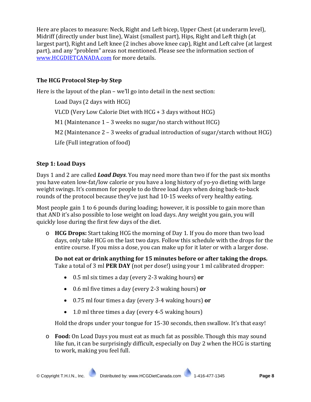Here are places to measure: Neck, Right and Left bicep, Upper Chest (at underarm level), Midriff (directly under bust line), Waist (smallest part), Hips, Right and Left thigh (at largest part), Right and Left knee (2 inches above knee cap), Right and Left calve (at largest part), and any "problem" areas not mentioned. Please see the information section of www.HCGDIETCANADA.com for more details.

## **The HCG Protocol Step-by Step**

Here is the layout of the plan – we'll go into detail in the next section:

Load Days (2 days with HCG) VLCD (Very Low Calorie Diet with HCG + 3 days without HCG) M1 (Maintenance 1 – 3 weeks no sugar/no starch without HCG) M2 (Maintenance 2 – 3 weeks of gradual introduction of sugar/starch without HCG) Life (Full integration of food)

## **Step 1: Load Days**

Days 1 and 2 are called *Load Days*. You may need more than two if for the past six months you have eaten low-fat/low calorie or you have a long history of yo-yo dieting with large weight swings. It's common for people to do three load days when doing back-to-back rounds of the protocol because they've just had 10-15 weeks of very healthy eating.

Most people gain 1 to 6 pounds during loading; however, it is possible to gain more than that AND it's also possible to lose weight on load days. Any weight you gain, you will quickly lose during the first few days of the diet.

o **HCG Drops:** Start taking HCG the morning of Day 1. If you do more than two load days, only take HCG on the last two days. Follow this schedule with the drops for the entire course. If you miss a dose, you can make up for it later or with a larger dose.

**Do not eat or drink anything for 15 minutes before or after taking the drops.** Take a total of 3 ml **PER DAY** (not per dose!) using your 1 ml calibrated dropper:

- 0.5 ml six times a day (every 2-3 waking hours) **or**
- 0.6 ml five times a day (every 2-3 waking hours) **or**
- 0.75 ml four times a day (every 3-4 waking hours) **or**
- 1.0 ml three times a day (every 4-5 waking hours)

Hold the drops under your tongue for 15-30 seconds, then swallow. It's that easy!

o **Food:** On Load Days you must eat as much fat as possible. Though this may sound like fun, it can be surprisingly difficult, especially on Day 2 when the HCG is starting to work, making you feel full.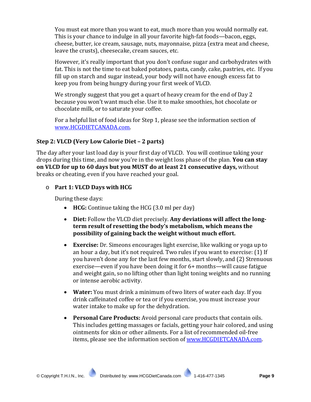You must eat more than you want to eat, much more than you would normally eat. This is your chance to indulge in all your favorite high-fat foods—bacon, eggs, cheese, butter, ice cream, sausage, nuts, mayonnaise, pizza (extra meat and cheese, leave the crusts), cheesecake, cream sauces, etc.

However, it's really important that you don't confuse sugar and carbohydrates with fat. This is not the time to eat baked potatoes, pasta, candy, cake, pastries, etc. If you fill up on starch and sugar instead, your body will not have enough excess fat to keep you from being hungry during your first week of VLCD.

We strongly suggest that you get a quart of heavy cream for the end of Day 2 because you won't want much else. Use it to make smoothies, hot chocolate or chocolate milk, or to saturate your coffee.

For a helpful list of food ideas for Step 1, please see the information section of www.HCGDIETCANADA.com.

## **Step 2: VLCD (Very Low Calorie Diet – 2 parts)**

The day after your last load day is your first day of VLCD. You will continue taking your drops during this time, and now you're in the weight loss phase of the plan. **You can stay on VLCD for up to 60 days but you MUST do at least 21 consecutive days,** without breaks or cheating, even if you have reached your goal.

## o **Part 1: VLCD Days with HCG**

During these days:

- **HCG:** Continue taking the HCG (3.0 ml per day)
- **Diet:** Follow the VLCD diet precisely. **Any deviations will affect the longterm result of resetting the body's metabolism, which means the possibility of gaining back the weight without much effort.**
- **Exercise:** Dr. Simeons encourages light exercise, like walking or yoga up to an hour a day, but it's not required. Two rules if you want to exercise: (1) If you haven't done any for the last few months, start slowly, and (2) Strenuous exercise—even if you have been doing it for 6+ months—will cause fatigue and weight gain, so no lifting other than light toning weights and no running or intense aerobic activity.
- **Water:** You must drink a minimum of two liters of water each day. If you drink caffeinated coffee or tea or if you exercise, you must increase your water intake to make up for the dehydration.
- **Personal Care Products:** Avoid personal care products that contain oils. This includes getting massages or facials, getting your hair colored, and using ointments for skin or other ailments. For a list of recommended oil-free items, please see the information section of www.HCGDIETCANADA.com.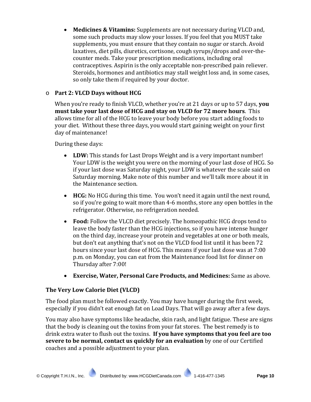• **Medicines & Vitamins:** Supplements are not necessary during VLCD and, some such products may slow your losses. If you feel that you MUST take supplements, you must ensure that they contain no sugar or starch. Avoid laxatives, diet pills, diuretics, cortisone, cough syrups/drops and over-thecounter meds. Take your prescription medications, including oral contraceptives. Aspirin is the only acceptable non-prescribed pain reliever. Steroids, hormones and antibiotics may stall weight loss and, in some cases, so only take them if required by your doctor.

#### o **Part 2: VLCD Days without HCG**

When you're ready to finish VLCD, whether you're at 21 days or up to 57 days, **you must take your last dose of HCG and stay on VLCD for 72 more hours**. This allows time for all of the HCG to leave your body before you start adding foods to your diet. Without these three days, you would start gaining weight on your first day of maintenance!

During these days:

- **LDW:** This stands for Last Drops Weight and is a very important number! Your LDW is the weight you were on the morning of your last dose of HCG. So if your last dose was Saturday night, your LDW is whatever the scale said on Saturday morning. Make note of this number and we'll talk more about it in the Maintenance section.
- **HCG:** No HCG during this time. You won't need it again until the next round, so if you're going to wait more than 4-6 months, store any open bottles in the refrigerator. Otherwise, no refrigeration needed.
- **Food:** Follow the VLCD diet precisely. The homeopathic HCG drops tend to leave the body faster than the HCG injections, so if you have intense hunger on the third day, increase your protein and vegetables at one or both meals, but don't eat anything that's not on the VLCD food list until it has been 72 hours since your last dose of HCG. This means if your last dose was at 7:00 p.m. on Monday, you can eat from the Maintenance food list for dinner on Thursday after 7:00!
- **Exercise, Water, Personal Care Products, and Medicines:** Same as above.

#### **The Very Low Calorie Diet (VLCD)**

The food plan must be followed exactly. You may have hunger during the first week, especially if you didn't eat enough fat on Load Days. That will go away after a few days.

You may also have symptoms like headache, skin rash, and light fatigue. These are signs that the body is cleaning out the toxins from your fat stores. The best remedy is to drink extra water to flush out the toxins. **If you have symptoms that you feel are too severe to be normal, contact us quickly for an evaluation** by one of our Certified coaches and a possible adjustment to your plan.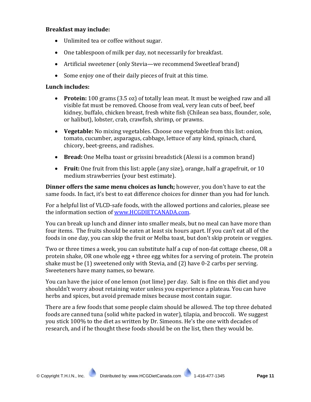#### **Breakfast may include:**

- Unlimited tea or coffee without sugar.
- One tablespoon of milk per day, not necessarily for breakfast.
- Artificial sweetener (only Stevia—we recommend Sweetleaf brand)
- Some enjoy one of their daily pieces of fruit at this time.

#### **Lunch includes:**

- **Protein:** 100 grams (3.5 oz) of totally lean meat. It must be weighed raw and all visible fat must be removed. Choose from veal, very lean cuts of beef, beef kidney, buffalo, chicken breast, fresh white fish (Chilean sea bass, flounder, sole, or halibut), lobster, crab, crawfish, shrimp, or prawns.
- **Vegetable:** No mixing vegetables. Choose one vegetable from this list: onion, tomato, cucumber, asparagus, cabbage, lettuce of any kind, spinach, chard, chicory, beet-greens, and radishes.
- **Bread:** One Melba toast or grissini breadstick (Alessi is a common brand)
- **Fruit:** One fruit from this list: apple (any size), orange, half a grapefruit, or 10 medium strawberries (your best estimate).

**Dinner offers the same menu choices as lunch;** however, you don't have to eat the same foods. In fact, it's best to eat difference choices for dinner than you had for lunch.

For a helpful list of VLCD-safe foods, with the allowed portions and calories, please see the information section of www.HCGDIETCANADA.com.

You can break up lunch and dinner into smaller meals, but no meal can have more than four items. The fruits should be eaten at least six hours apart. If you can't eat all of the foods in one day, you can skip the fruit or Melba toast, but don't skip protein or veggies.

Two or three times a week, you can substitute half a cup of non-fat cottage cheese, OR a protein shake, OR one whole egg + three egg whites for a serving of protein. The protein shake must be (1) sweetened only with Stevia, and (2) have 0-2 carbs per serving. Sweeteners have many names, so beware.

You can have the juice of one lemon (not lime) per day. Salt is fine on this diet and you shouldn't worry about retaining water unless you experience a plateau. You can have herbs and spices, but avoid premade mixes because most contain sugar.

There are a few foods that some people claim should be allowed. The top three debated foods are canned tuna (solid white packed in water), tilapia, and broccoli. We suggest you stick 100% to the diet as written by Dr. Simeons. He's the one with decades of research, and if he thought these foods should be on the list, then they would be.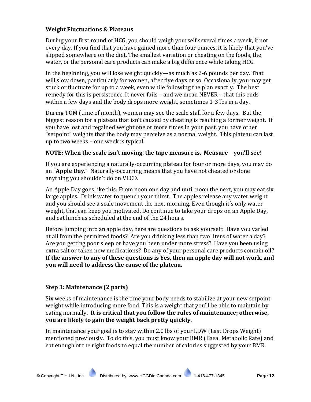#### **Weight Fluctuations & Plateaus**

During your first round of HCG, you should weigh yourself several times a week, if not every day. If you find that you have gained more than four ounces, it is likely that you've slipped somewhere on the diet. The smallest variation or cheating on the foods, the water, or the personal care products can make a big difference while taking HCG.

In the beginning, you will lose weight quickly—as much as 2-6 pounds per day. That will slow down, particularly for women, after five days or so. Occasionally, you may get stuck or fluctuate for up to a week, even while following the plan exactly. The best remedy for this is persistence. It never fails – and we mean NEVER – that this ends within a few days and the body drops more weight, sometimes 1-3 lbs in a day.

During TOM (time of month), women may see the scale stall for a few days. But the biggest reason for a plateau that isn't caused by cheating is reaching a former weight. If you have lost and regained weight one or more times in your past, you have other "setpoint" weights that the body may perceive as a normal weight. This plateau can last up to two weeks – one week is typical.

#### **NOTE: When the scale isn't moving, the tape measure is. Measure – you'll see!**

If you are experiencing a naturally-occurring plateau for four or more days, you may do an "**Apple Day**." Naturally-occurring means that you have not cheated or done anything you shouldn't do on VLCD.

An Apple Day goes like this: From noon one day and until noon the next, you may eat six large apples. Drink water to quench your thirst. The apples release any water weight and you should see a scale movement the next morning. Even though it's only water weight, that can keep you motivated. Do continue to take your drops on an Apple Day, and eat lunch as scheduled at the end of the 24 hours.

Before jumping into an apple day, here are questions to ask yourself: Have you varied at all from the permitted foods? Are you drinking less than two liters of water a day? Are you getting poor sleep or have you been under more stress? Have you been using extra salt or taken new medications? Do any of your personal care products contain oil? **If the answer to any of these questions is Yes, then an apple day will not work, and you will need to address the cause of the plateau.**

#### **Step 3: Maintenance (2 parts)**

Six weeks of maintenance is the time your body needs to stabilize at your new setpoint weight while introducing more food. This is a weight that you'll be able to maintain by eating normally. **It is critical that you follow the rules of maintenance; otherwise, you are likely to gain the weight back pretty quickly.**

In maintenance your goal is to stay within 2.0 lbs of your LDW (Last Drops Weight) mentioned previously. To do this, you must know your BMR (Basal Metabolic Rate) and eat enough of the right foods to equal the number of calories suggested by your BMR.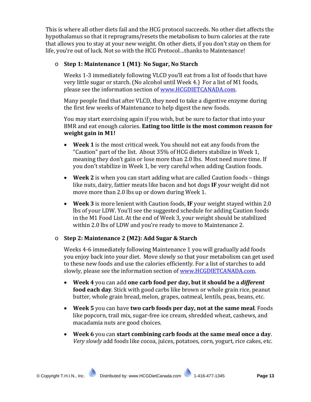This is where all other diets fail and the HCG protocol succeeds. No other diet affects the hypothalamus so that it reprograms/resets the metabolism to burn calories at the rate that allows you to stay at your new weight. On other diets, if you don't stay on them for life, you're out of luck. Not so with the HCG Protocol…thanks to Maintenance!

## o **Step 1: Maintenance 1 (M1)**: **No Sugar, No Starch**

Weeks 1-3 immediately following VLCD you'll eat from a list of foods that have very little sugar or starch. (No alcohol until Week 4.) For a list of M1 foods, please see the information section of www.HCGDIETCANADA.com.

Many people find that after VLCD, they need to take a digestive enzyme during the first few weeks of Maintenance to help digest the new foods.

You may start exercising again if you wish, but be sure to factor that into your BMR and eat enough calories. **Eating too little is the most common reason for weight gain in M1!**

- **Week 1** is the most critical week. You should not eat any foods from the "Caution" part of the list. About 35% of HCG dieters stabilize in Week 1, meaning they don't gain or lose more than 2.0 lbs. Most need more time. If you don't stabilize in Week 1, be very careful when adding Caution foods.
- **Week 2** is when you can start adding what are called Caution foods things like nuts, dairy, fattier meats like bacon and hot dogs **IF** your weight did not move more than 2.0 lbs up or down during Week 1.
- **Week 3** is more lenient with Caution foods, **IF** your weight stayed within 2.0 lbs of your LDW. You'll see the suggested schedule for adding Caution foods in the M1 Food List. At the end of Week 3, your weight should be stabilized within 2.0 lbs of LDW and you're ready to move to Maintenance 2.

## o **Step 2: Maintenance 2 (M2): Add Sugar & Starch**

Weeks 4-6 immediately following Maintenance 1 you will gradually add foods you enjoy back into your diet. Move slowly so that your metabolism can get used to these new foods and use the calories efficiently. For a list of starches to add slowly, please see the information section of www.HCGDIETCANADA.com.

- **Week 4** you can add **one carb food per day, but it should be a** *different* **food each day**. Stick with good carbs like brown or whole grain rice, peanut butter, whole grain bread, melon, grapes, oatmeal, lentils, peas, beans, etc.
- **Week 5** you can have **two carb foods per day, not at the same meal**. Foods like popcorn, trail mix, sugar-free ice cream, shredded wheat, cashews, and macadamia nuts are good choices.
- **Week 6** you can **start combining carb foods at the same meal once a day**. *Very slowly* add foods like cocoa, juices, potatoes, corn, yogurt, rice cakes, etc.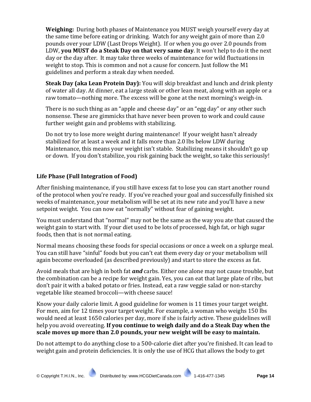**Weighing:** During both phases of Maintenance you MUST weigh yourself every day at the same time before eating or drinking. Watch for any weight gain of more than 2.0 pounds over your LDW (Last Drops Weight). If or when you go over 2.0 pounds from LDW, **you MUST do a Steak Day on that very same day**. It won't help to do it the next day or the day after.It may take three weeks of maintenance for wild fluctuations in weight to stop. This is common and not a cause for concern. Just follow the M1 guidelines and perform a steak day when needed.

**Steak Day (aka Lean Protein Day):** You will skip breakfast and lunch and drink plenty of water all day. At dinner, eat a large steak or other lean meat, along with an apple or a raw tomato—nothing more. The excess will be gone at the next morning's weigh-in.

There is no such thing as an "apple and cheese day" or an "egg day" or any other such nonsense. These are gimmicks that have never been proven to work and could cause further weight gain and problems with stabilizing.

Do not try to lose more weight during maintenance! If your weight hasn't already stabilized for at least a week and it falls more than 2.0 lbs below LDW during Maintenance, this means your weight isn't stable. Stabilizing means it shouldn't go up or down. If you don't stabilize, you risk gaining back the weight, so take this seriously!

## **Life Phase (Full Integration of Food)**

After finishing maintenance, if you still have excess fat to lose you can start another round of the protocol when you're ready. If you've reached your goal and successfully finished six weeks of maintenance, your metabolism will be set at its new rate and you'll have a new setpoint weight. You can now eat "normally" without fear of gaining weight.

You must understand that "normal" may not be the same as the way you ate that caused the weight gain to start with. If your diet used to be lots of processed, high fat, or high sugar foods, then that is not normal eating.

Normal means choosing these foods for special occasions or once a week on a splurge meal. You can still have "sinful" foods but you can't eat them every day or your metabolism will again become overloaded (as described previously) and start to store the excess as fat.

Avoid meals that are high in both fat *and* carbs. Either one alone may not cause trouble, but the combination can be a recipe for weight gain. Yes, you can eat that large plate of ribs, but don't pair it with a baked potato or fries. Instead, eat a raw veggie salad or non-starchy vegetable like steamed broccoli—with cheese sauce!

Know your daily calorie limit. A good guideline for women is 11 times your target weight. For men, aim for 12 times your target weight. For example, a woman who weighs 150 lbs would need at least 1650 calories per day, more if she is fairly active. These guidelines will help you avoid overeating. **If you continue to weigh daily and do a Steak Day when the scale moves up more than 2.0 pounds, your new weight will be easy to maintain.**

Do not attempt to do anything close to a 500-calorie diet after you're finished. It can lead to weight gain and protein deficiencies. It is only the use of HCG that allows the body to get